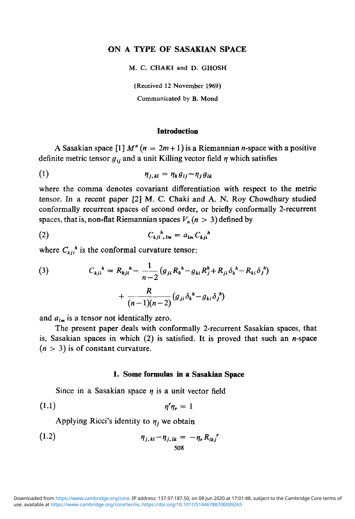# **ON A TYPE OF SASAKIAN SPACE**

M. C. CHAKI and D. GHOSH

(Received 12 November 1969)

Communicated by B. Mond

## **Introduction**

A Sasakian space  $[1] M<sup>n</sup>$   $(n = 2m + 1)$  is a Riemannian *n*-space with a positive definite metric tensor  $g_{ii}$  and a unit Killing vector field  $\eta$  which satisfies

$$
\eta_{j,kl} = \eta_k g_{lj} - \eta_j g_{lk}
$$

where the comma denotes covariant differentiation with respect to the metric tensor. In a recent paper [2] M. C. Chaki and A. N. Roy Chowdhury studied conformally recurrent spaces of second order, or briefly conformally 2-recurrent spaces, that is, non-flat Riemannian spaces  $V_n(n > 3)$  defined by

$$
(2) \tC_{kj}i^h_{,lm} = a_{lm}C_{kj}i^h
$$

where  $C_{kji}^h$  is the conformal curvature tensor:

(3) 
$$
C_{kji}^{\ \ h} = R_{kji}^{\ \ h} - \frac{1}{n-2} (g_{ji} R_k^{\ \ h} - g_{ki} R_j^{\ \ h} + R_{ji} \delta_k^{\ \ h} - R_{ki} \delta_j^{\ \ h}) + \frac{R}{(n-1)(n-2)} (g_{ji} \delta_k^{\ \ h} - g_{ki} \delta_j^{\ \ h})
$$

and  $a_{lm}$  is a tensor not identically zero.

The present paper deals with conformally 2-recurrent Sasakian spaces, that is, Sasakian spaces in which  $(2)$  is satisfied. It is proved that such an *n*-space  $(n > 3)$  is of constant curvature.

## **1. Some formulas in a Sasakian Space**

Since in a Sasakian space  $\eta$  is a unit vector field

$$
\eta \eta_r = 1
$$

Applying Ricci's identity to  $\eta_i$  we obtain

(1.2) 
$$
\eta_{j,kl} - \eta_{j,lk} = -\eta_r R_{lkj}^r
$$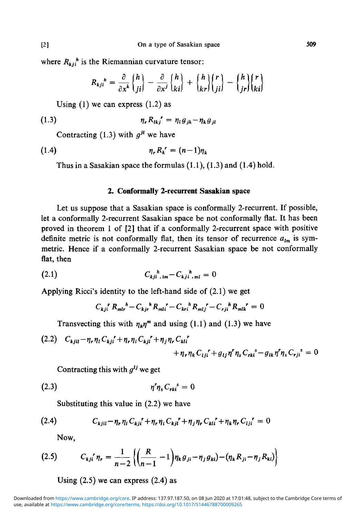where  $R_{ki}^{h}$  is the Riemannian curvature tensor:

$$
R_{kji}^{\ h} = \frac{\partial}{\partial x^k} \begin{Bmatrix} h \\ ji \end{Bmatrix} - \frac{\partial}{\partial x^j} \begin{Bmatrix} h \\ ki \end{Bmatrix} + \begin{Bmatrix} h \\ kr \end{Bmatrix} \begin{Bmatrix} r \\ ji \end{Bmatrix} - \begin{Bmatrix} h \\ jr \end{Bmatrix} \begin{Bmatrix} r \\ ki \end{Bmatrix}
$$

Using  $(1)$  we can express  $(1.2)$  as

$$
\eta_r R_{lkj}^{\qquad r} = \eta_l g_{jk} - \eta_k g_{jl}
$$

Contracting (1.3) with  $g^{jl}$  we have

$$
\eta_r R_k^{\ r} = (n-1)\eta_k
$$

Thus in a Sasakian space the formulas (1.1), (1.3) and (1.4) hold.

### **2. Conformally 2-recurrent Sasakian space**

Let us suppose that a Sasakian space is conformally 2-recurrent. If possible, let a conformally 2-recurrent Sasakian space be not conformally flat. It has been proved in theorem 1 of [2] that if a conformally 2-recurrent space with positive definite metric is not conformally flat, then its tensor of recurrence  $a_{lm}$  is symmetric. Hence if a conformally 2-recurrent Sasakian space be not conformally flat, then

(2.1) 
$$
C_{kji^k,lm} - C_{kji^l,m} = 0
$$

Applying Ricci's identity to the left-hand side of (2.1) we get

$$
C_{kji}{}^{r} R_{mlr}{}^{h} - C_{kjr}{}^{h} R_{mli}{}^{r} - C_{kri}{}^{h} R_{mlj}{}^{r} - C_{rji}{}^{h} R_{mlk}{}^{r} = 0
$$

Transvecting this with  $\eta_h\eta^m$  and using (1.1) and (1.3) we have

(2.2) 
$$
C_{kjil} - \eta_r \eta_l C_{kji}^{\ \ r} + \eta_r \eta_i C_{kji}^{\ \ r} + \eta_j \eta_r C_{kli}^{\ \ r} + \eta_r \eta_k C_{lji}^{\ \ r} + g_{lj} \eta^r \eta_s C_{rki}^{\ \ s} - g_{lk} \eta^r \eta_s C_{rji}^{\ \ s} = 0
$$

Contracting this with  $g^{lj}$  we get

$$
\eta^r \eta_s C_{rki}^s = 0
$$

Substituting this value in (2.2) we have

(2.4) 
$$
C_{kjil} - \eta_r \eta_l C_{kji}^{\ \ \ \ \tau} + \eta_r \eta_i C_{kji}^{\ \ \ \ r} + \eta_j \eta_r C_{kli}^{\ \ \ \ \ \tau} + \eta_k \eta_r C_{lji}^{\ \ \ \ r} = 0
$$

Now,

$$
(2.5) \tC_{kj}r_{n} = \frac{1}{n-2}\left\{\left(\frac{R}{n-1}-1\right)n_{k}g_{ji} - \eta_{j}g_{ki}\right) - \left(n_{k}R_{ji} - \eta_{j}R_{ki}\right)\right\}
$$

Using  $(2.5)$  we can express  $(2.4)$  as

use, available at <https://www.cambridge.org/core/terms>.<https://doi.org/10.1017/S1446788700009265> Downloaded from [https://www.cambridge.org/core.](https://www.cambridge.org/core) IP address: 137.97.187.50, on 08 Jun 2020 at 17:01:48, subject to the Cambridge Core terms of